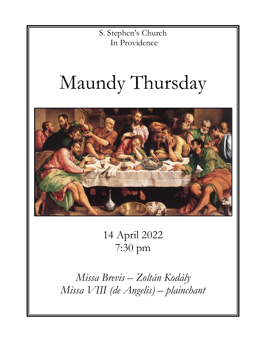S. Stephen's Church In Providence

# Maundy Thursday



14 April 2022 7:30 pm

*Missa Brevis – Zoltán Kodály Missa VIII (de Angelis) – plainchant*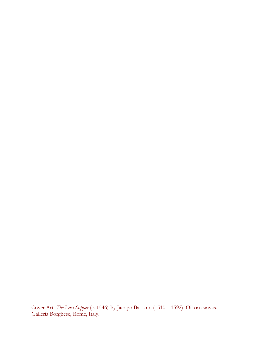Cover Art: *The Last Supper* (c. 1546) by Jacopo Bassano (1510 *–* 1592). Oil on canvas. Galleria Borghese, Rome, Italy.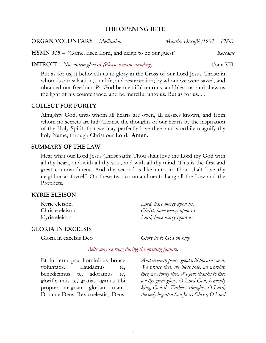# **THE OPENING RITE**

### **ORGAN VOLUNTARY** – *Méditation Maurice Duruflé (1902 – 1986)*

**HYMN 305** – "Come, risen Lord, and deign to be our guest" *Rosedale*

**INTROIT** – *Nos autem gloriari (Please remain standing)* Tone VII

But as for us, it behoveth us to glory in the Cross of our Lord Jesus Christ: in whom is our salvation, our life, and resurrection; by whom we were saved, and obtained our freedom. *Ps.* God be merciful unto us, and bless us: and shew us the light of his countenance, and be merciful unto us. But as for us. . .

#### **COLLECT FOR PURITY**

Almighty God, unto whom all hearts are open, all desires known, and from whom no secrets are hid: Cleanse the thoughts of our hearts by the inspiration of thy Holy Spirit, that we may perfectly love thee, and worthily magnify thy holy Name; through Christ our Lord. **Amen.**

#### **SUMMARY OF THE LAW**

Hear what our Lord Jesus Christ saith: Thou shalt love the Lord thy God with all thy heart, and with all thy soul, and with all thy mind. This is the first and great commandment. And the second is like unto it: Thou shalt love thy neighbor as thyself. On these two commandments hang all the Law and the Prophets.

#### **KYRIE ELEISON**

| Kyrie eleison.   | Lord, have mercy upon us.   |
|------------------|-----------------------------|
| Christe eleison. | Christ, have mercy upon us. |
| Kyrie eleison.   | Lord, have mercy upon us.   |

#### **GLORIA IN EXCELSIS**

Gloria in excelsis Deo *Glory be to God on high*

*Bells may be rung during the opening fanfare.*

Et in terra pax hominibus bonae voluntatis. Laudamus te, benedicimus te, adoramus te, glorificamus te, gratias agimus tibi propter magnam gloriam tuam. Domine Deus, Rex coelestis, Deus

*And in earth peace, good will towards men. We praise thee, we bless thee, we worship thee, we glorify thee. We give thanks to thee for thy great glory. O Lord God, heavenly king, God the Father Almighty. O Lord, the only begotten Son Jesus Christ; O Lord*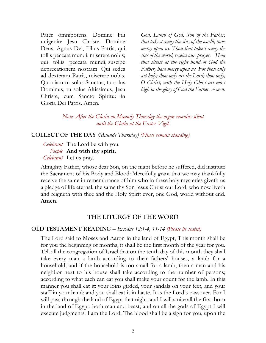Pater omnipotens. Domine Fili unigenite Jesu Christe. Domine Deus, Agnus Dei, Filius Patris, qui tollis peccata mundi, miserere nobis; qui tollis peccata mundi, suscipe deprecationem nostram. Qui sedes ad dexteram Patris, miserere nobis. Quoniam tu solus Sanctus, tu solus Dominus, tu solus Altissimus, Jesu Christe, cum Sancto Spiritu: in Gloria Dei Patris. Amen.

*God, Lamb of God, Son of the Father, that takest away the sins of the world, have mercy upon us. Thou that takest away the sins of the world, receive our prayer. Thou that sittest at the right hand of God the Father, have mercy upon us. For thou only art holy; thou only art the Lord; thou only, O Christ, with the Holy Ghost art most high in the glory of God the Father. Amen.*

*Note: After the Gloria on Maundy Thursday the organ remains silent until the Gloria at the Easter Vigil.*

**COLLECT OF THE DAY** *(Maundy Thursday) (Please remain standing)*

*Celebrant* The Lord be with you. *People* **And with thy spirit.** *Celebrant* Let us pray.

Almighty Father, whose dear Son, on the night before he suffered, did institute the Sacrament of his Body and Blood: Mercifully grant that we may thankfully receive the same in remembrance of him who in these holy mysteries giveth us a pledge of life eternal, the same thy Son Jesus Christ our Lord; who now liveth and reigneth with thee and the Holy Spirit ever, one God, world without end. **Amen.**

# **THE LITURGY OF THE WORD**

# **OLD TESTAMENT READING** – *Exodus 12:1-4, 11-14 (Please be seated)*

The Lord said to Moses and Aaron in the land of Egypt, This month shall be for you the beginning of months; it shall be the first month of the year for you. Tell all the congregation of Israel that on the tenth day of this month they shall take every man a lamb according to their fathers' houses, a lamb for a household; and if the household is too small for a lamb, then a man and his neighbor next to his house shall take according to the number of persons; according to what each can eat you shall make your count for the lamb. In this manner you shall eat it: your loins girded, your sandals on your feet, and your staff in your hand; and you shall eat it in haste. It is the Lord's passover. For I will pass through the land of Egypt that night, and I will smite all the first-born in the land of Egypt, both man and beast; and on all the gods of Egypt I will execute judgments: I am the Lord. The blood shall be a sign for you, upon the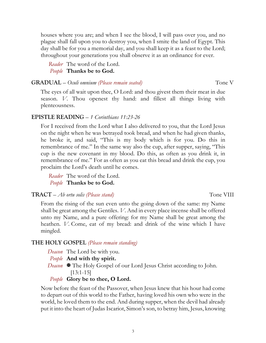houses where you are; and when I see the blood, I will pass over you, and no plague shall fall upon you to destroy you, when I smite the land of Egypt. This day shall be for you a memorial day, and you shall keep it as a feast to the Lord; throughout your generations you shall observe it as an ordinance for ever.

*Reader* The word of the Lord. *People* **Thanks be to God.**

**GRADUAL** – *Oculi omnium (Please remain seated)* Tone V

The eyes of all wait upon thee, O Lord: and thou givest them their meat in due season. *V.* Thou openest thy hand: and fillest all things living with plenteousness.

# **EPISTLE READING** – *1 Corinthians 11:23-26*

For I received from the Lord what I also delivered to you, that the Lord Jesus on the night when he was betrayed took bread, and when he had given thanks, he broke it, and said, "This is my body which is for you. Do this in remembrance of me." In the same way also the cup, after supper, saying, "This cup is the new covenant in my blood. Do this, as often as you drink it, in remembrance of me." For as often as you eat this bread and drink the cup, you proclaim the Lord's death until he comes.

*Reader* The word of the Lord. *People* **Thanks be to God.**

# **TRACT** – *Ab ortu solis (Please stand)* Tone VIII

From the rising of the sun even unto the going down of the same: my Name shall be great among the Gentiles. *V*. And in every place incense shall be offered unto my Name, and a pure offering: for my Name shall be great among the heathen. *V.* Come, eat of my bread: and drink of the wine which I have mingled.

# **THE HOLY GOSPEL** *(Please remain standing)*

- *Deacon* The Lord be with you.
- *People* **And with thy spirit.**
- *Deacon*  $\blacksquare$  The Holy Gospel of our Lord Jesus Christ according to John. [13:1-15]

# *People* **Glory be to thee, O Lord.**

Now before the feast of the Passover, when Jesus knew that his hour had come to depart out of this world to the Father, having loved his own who were in the world, he loved them to the end. And during supper, when the devil had already put it into the heart of Judas Iscariot, Simon's son, to betray him, Jesus, knowing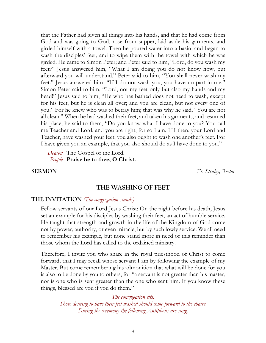that the Father had given all things into his hands, and that he had come from God and was going to God, rose from supper, laid aside his garments, and girded himself with a towel. Then he poured water into a basin, and began to wash the disciples' feet, and to wipe them with the towel with which he was girded. He came to Simon Peter; and Peter said to him, "Lord, do you wash my feet?" Jesus answered him, "What I am doing you do not know now, but afterward you will understand." Peter said to him, "You shall never wash my feet." Jesus answered him, "If I do not wash you, you have no part in me." Simon Peter said to him, "Lord, not my feet only but also my hands and my head!" Jesus said to him, "He who has bathed does not need to wash, except for his feet, but he is clean all over; and you are clean, but not every one of you." For he knew who was to betray him; that was why he said, "You are not all clean." When he had washed their feet, and taken his garments, and resumed his place, he said to them, "Do you know what I have done to you? You call me Teacher and Lord; and you are right, for so I am. If I then, your Lord and Teacher, have washed your feet, you also ought to wash one another's feet. For I have given you an example, that you also should do as I have done to you."

*Deacon* The Gospel of the Lord. *People* **Praise be to thee, O Christ.**

**SERMON** *Fr. Straley, Rector*

#### **THE WASHING OF FEET**

#### **THE INVITATION** *(The congregation stands)*

Fellow servants of our Lord Jesus Christ: On the night before his death, Jesus set an example for his disciples by washing their feet, an act of humble service. He taught that strength and growth in the life of the Kingdom of God come not by power, authority, or even miracle, but by such lowly service. We all need to remember his example, but none stand more in need of this reminder than those whom the Lord has called to the ordained ministry.

Therefore, I invite you who share in the royal priesthood of Christ to come forward, that I may recall whose servant I am by following the example of my Master. But come remembering his admonition that what will be done for you is also to be done by you to others, for "a servant is not greater than his master, nor is one who is sent greater than the one who sent him. If you know these things, blessed are you if you do them."

*The congregation sits. Those desiring to have their feet washed should come forward to the chairs. During the ceremony the following Antiphons are sung.*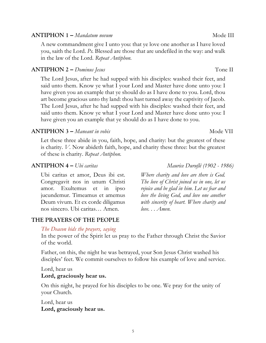# **ANTIPHON 1** – *Mandatum novum* and *Mode III*

A new commandment give I unto you: that ye love one another as I have loved you, saith the Lord. *Ps.* Blessed are those that are undefiled in the way: and walk in the law of the Lord. *Repeat Antiphon.*

# **ANTIPHON 2 –** *Dominus Jesus* **Tone II**

The Lord Jesus, after he had supped with his disciples: washed their feet, and said unto them. Know ye what I your Lord and Master have done unto you: I have given you an example that ye should do as I have done to you. Lord, thou art become gracious unto thy land: thou hast turned away the captivity of Jacob. The Lord Jesus, after he had supped with his disciples: washed their feet, and said unto them. Know ye what I your Lord and Master have done unto you: I have given you an example that ye should do as I have done to you.

# **ANTIPHON 3** – *Maneant in vobis* and the set of the Mode VII

Let these three abide in you, faith, hope, and charity: but the greatest of these is charity. *V.* Now abideth faith, hope, and charity these three: but the greatest of these is charity. *Repeat Antiphon.*

# **ANTIPHON 4 –** *Ubi caritas Maurice Duruflé (1902 - 1986)*

Ubi caritas et amor, Deus ibi est. Congregavit nos in unum Christi amor. Exultemus et in ipso jucundemur. Timeamus et amemus Deum vivum. Et ex corde diligamus nos sincero. Ubi caritas… Amen.

# **THE PRAYERS OF THE PEOPLE**

# *The Deacon bids the prayers, saying*

In the power of the Spirit let us pray to the Father through Christ the Savior of the world.

Father, on this, the night he was betrayed, your Son Jesus Christ washed his disciples' feet. We commit ourselves to follow his example of love and service.

# Lord, hear us

# **Lord, graciously hear us.**

On this night, he prayed for his disciples to be one. We pray for the unity of your Church.

5

Lord, hear us **Lord, graciously hear us.**

*Where charity and love are there is God. The love of Christ joined us in one, let us rejoice and be glad in him. Let us fear and love the living God, and love one another with sincerity of heart. Where charity and love. . . Amen.*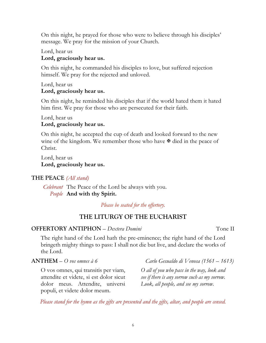On this night, he prayed for those who were to believe through his disciples' message. We pray for the mission of your Church.

Lord, hear us

# **Lord, graciously hear us.**

On this night, he commanded his disciples to love, but suffered rejection himself. We pray for the rejected and unloved.

## Lord, hear us **Lord, graciously hear us.**

On this night, he reminded his disciples that if the world hated them it hated him first. We pray for those who are persecuted for their faith.

# Lord, hear us **Lord, graciously hear us.**

On this night, he accepted the cup of death and looked forward to the new wine of the kingdom. We remember those who have  $\mathbb{F}$  died in the peace of Christ.

Lord, hear us **Lord, graciously hear us.**

# **THE PEACE** *(All stand)*

*Celebrant* The Peace of the Lord be always with you. *People* **And with thy Spirit.**

*Please be seated for the offertory.*

# **THE LITURGY OF THE EUCHARIST**

# **OFFERTORY ANTIPHON** – *Dextera Domini* Tone II

The right hand of the Lord hath the pre-eminence; the right hand of the Lord bringeth mighty things to pass: I shall not die but live, and declare the works of the Lord.

**ANTHEM** – *O vos omnes à 6 Carlo Gesualdo di Venosa (1561 – 1613)*

O vos omnes, qui transitis per viam, attendite et videte, si est dolor sicut dolor meus. Attendite, universi populi, et videte dolor meum.

*O all of you who pass in the way, look and see if there is any sorrow such as my sorrow. Look, all people, and see my sorrow.*

*Please stand for the hymn as the gifts are presented and the gifts, altar, and people are censed.*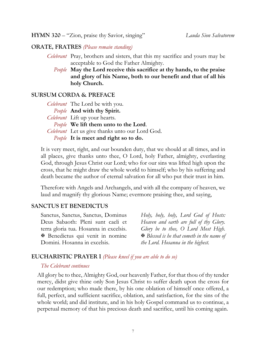**HYMN 320** – "Zion, praise thy Savior, singing" *Lauda Sion Salvatorem*

# **ORATE, FRATRES** *(Please remain standing)*

- *Celebrant* Pray, brothers and sisters, that this my sacrifice and yours may be acceptable to God the Father Almighty.
	- *People* **May the Lord receive this sacrifice at thy hands, to the praise and glory of his Name, both to our benefit and that of all his holy Church.**

### **SURSUM CORDA & PREFACE**

| Celebrant The Lord be with you.                 |
|-------------------------------------------------|
| People And with thy Spirit.                     |
| <i>Celebrant</i> Lift up your hearts.           |
| People We lift them unto to the Lord.           |
| Celebrant Let us give thanks unto our Lord God. |
| People It is meet and right so to do.           |

It is very meet, right, and our bounden duty, that we should at all times, and in all places, give thanks unto thee, O Lord, holy Father, almighty, everlasting God, through Jesus Christ our Lord; who for our sins was lifted high upon the cross, that he might draw the whole world to himself; who by his suffering and death became the author of eternal salvation for all who put their trust in him.

Therefore with Angels and Archangels, and with all the company of heaven, we laud and magnify thy glorious Name; evermore praising thee, and saying,

#### **SANCTUS ET BENEDICTUS**

Sanctus, Sanctus, Sanctus, Dominus Deus Sabaoth: Pleni sunt caeli et terra gloria tua. Hosanna in excelsis. X Benedictus qui venit in nomine Domini. Hosanna in excelsis.

*Holy, holy, holy, Lord God of Hosts: Heaven and earth are full of thy Glory. Glory be to thee, O Lord Most High.*  X *Blessed is he that cometh in the name of the Lord. Hosanna in the highest.* 

# **EUCHARISTIC PRAYER I** *(Please kneel if you are able to do so)*

#### *The Celebrant continues*

All glory be to thee, Almighty God, our heavenly Father, for that thou of thy tender mercy, didst give thine only Son Jesus Christ to suffer death upon the cross for our redemption; who made there, by his one oblation of himself once offered, a full, perfect, and sufficient sacrifice, oblation, and satisfaction, for the sins of the whole world; and did institute, and in his holy Gospel command us to continue, a perpetual memory of that his precious death and sacrifice, until his coming again.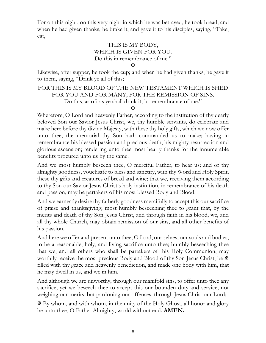For on this night, on this very night in which he was betrayed, he took bread; and when he had given thanks, he brake it, and gave it to his disciples, saying, "Take, eat,

# THIS IS MY BODY, WHICH IS GIVEN FOR YOU. Do this in remembrance of me."

 $\overline{\mathbf{X}}$ 

Likewise, after supper, he took the cup; and when he had given thanks, he gave it to them, saying, "Drink ye all of this;

# FOR THIS IS MY BLOOD OF THE NEW TESTAMENT WHICH IS SHED FOR YOU AND FOR MANY, FOR THE REMISSION OF SINS. Do this, as oft as ye shall drink it, in remembrance of me."

 $\mathbf x$ 

Wherefore, O Lord and heavenly Father, according to the institution of thy dearly beloved Son our Savior Jesus Christ, we, thy humble servants, do celebrate and make here before thy divine Majesty, with these thy holy gifts, which we now offer unto thee, the memorial thy Son hath commanded us to make; having in remembrance his blessed passion and precious death, his mighty resurrection and glorious ascension; rendering unto thee most hearty thanks for the innumerable benefits procured unto us by the same.

And we most humbly beseech thee, O merciful Father, to hear us; and of thy almighty goodness, vouchsafe to bless and sanctify, with thy Word and Holy Spirit, these thy gifts and creatures of bread and wine; that we, receiving them according to thy Son our Savior Jesus Christ's holy institution, in remembrance of his death and passion, may be partakers of his most blessed Body and Blood.

And we earnestly desire thy fatherly goodness mercifully to accept this our sacrifice of praise and thanksgiving; most humbly beseeching thee to grant that, by the merits and death of thy Son Jesus Christ, and through faith in his blood, we, and all thy whole Church, may obtain remission of our sins, and all other benefits of his passion.

And here we offer and present unto thee, O Lord, our selves, our souls and bodies, to be a reasonable, holy, and living sacrifice unto thee; humbly beseeching thee that we, and all others who shall be partakers of this Holy Communion, may worthily receive the most precious Body and Blood of thy Son Jesus Christ, be  $\mathbb{F}$ filled with thy grace and heavenly benediction, and made one body with him, that he may dwell in us, and we in him.

And although we are unworthy, through our manifold sins, to offer unto thee any sacrifice, yet we beseech thee to accept this our bounden duty and service, not weighing our merits, but pardoning our offenses, through Jesus Christ our Lord;

 $\mathbf{\Psi}$  By whom, and with whom, in the unity of the Holy Ghost, all honor and glory be unto thee, O Father Almighty, world without end. **AMEN.**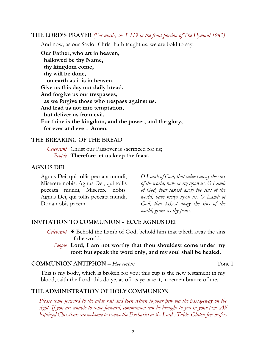#### **THE LORD'S PRAYER** *(For music, see S 119 in the front portion of The Hymnal 1982)*

And now, as our Savior Christ hath taught us, we are bold to say:

**Our Father, who art in heaven, hallowed be thy Name, thy kingdom come, thy will be done, on earth as it is in heaven. Give us this day our daily bread. And forgive us our trespasses, as we forgive those who trespass against us. And lead us not into temptation, but deliver us from evil. For thine is the kingdom, and the power, and the glory, for ever and ever. Amen.**

#### **THE BREAKING OF THE BREAD**

### *Celebrant* Christ our Passover is sacrificed for us; *People* **Therefore let us keep the feast.**

#### **AGNUS DEI**

Agnus Dei, qui tollis peccata mundi, Miserere nobis. Agnus Dei, qui tollis peccata mundi, Miserere nobis. Agnus Dei, qui tollis peccata mundi, Dona nobis pacem.

*O Lamb of God, that takest away the sins of the world, have mercy upon us. O Lamb of God, that takest away the sins of the world, have mercy upon us. O Lamb of God, that takest away the sins of the world, grant us thy peace.*

#### **INVITATION TO COMMUNION – ECCE AGNUS DEI**

- *Celebrant* X Behold the Lamb of God; behold him that taketh away the sins of the world.
	- *People* **Lord, I am not worthy that thou shouldest come under my roof: but speak the word only, and my soul shall be healed.**

#### **COMMUNION ANTIPHON** – *Hoc corpus* Tone I

This is my body, which is broken for you; this cup is the new testament in my blood, saith the Lord: this do ye, as oft as ye take it, in remembrance of me.

# **THE ADMINISTRATION OF HOLY COMMUNION**

*Please come forward to the altar rail and then return to your pew via the passageway on the right. If you are unable to come forward, communion can be brought to you in your pew. All baptized Christians are welcome to receive the Eucharist at the Lord's Table. Gluten-free wafers*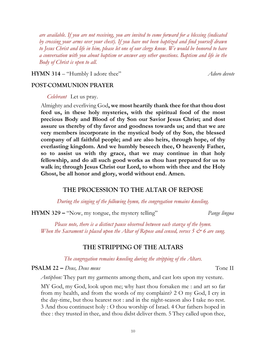*are available. If you are not receiving, you are invited to come forward for a blessing (indicated by crossing your arms over your chest). If you have not been baptized and find yourself drawn to Jesus Christ and life in him, please let one of our clergy know. We would be honored to have a conversation with you about baptism or answer any other questions. Baptism and life in the Body of Christ is open to all.*

**HYMN 314** – "Humbly I adore thee" *Adoro devote*

# **POST-COMMUNION PRAYER**

*Celebrant* Let us pray.

Almighty and everliving God**, we most heartily thank thee for that thou dost feed us, in these holy mysteries, with the spiritual food of the most precious Body and Blood of thy Son our Savior Jesus Christ; and dost assure us thereby of thy favor and goodness towards us; and that we are very members incorporate in the mystical body of thy Son, the blessed company of all faithful people; and are also heirs, through hope, of thy everlasting kingdom. And we humbly beseech thee, O heavenly Father, so to assist us with thy grace, that we may continue in that holy fellowship, and do all such good works as thou hast prepared for us to walk in; through Jesus Christ our Lord, to whom with thee and the Holy Ghost, be all honor and glory, world without end. Amen.**

# **THE PROCESSION TO THE ALTAR OF REPOSE**

*During the singing of the following hymn, the congregation remains kneeling.*

**HYMN 329 –** "Now, my tongue, the mystery telling" *Pange lingua*

*Please note, there is a distinct pause observed between each stanza of the hymn. When the Sacrament is placed upon the Altar of Repose and censed, verses 5*  $\mathcal{Q}$  *6 are sung.* 

# **THE STRIPPING OF THE ALTARS**

*The congregation remains kneeling during the stripping of the Altars.*

**PSALM 22 –** *Deus, Deus meus* Tone II

*Antiphon:* They part my garments among them, and cast lots upon my vesture.

MY God, my God, look upon me; why hast thou forsaken me : and art so far from my health, and from the words of my complaint? 2 O my God, I cry in the day-time, but thou hearest not : and in the night-season also I take no rest. 3 And thou continuest holy : O thou worship of Israel. 4 Our fathers hoped in thee : they trusted in thee, and thou didst deliver them. 5 They called upon thee,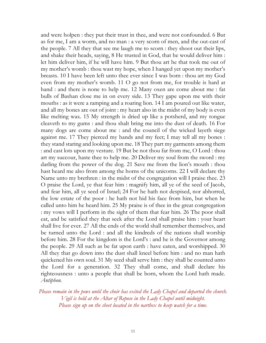and were holpen : they put their trust in thee, and were not confounded. 6 But as for me, I am a worm, and no man : a very scorn of men, and the out-cast of the people. 7 All they that see me laugh me to scorn : they shoot out their lips, and shake their heads, saying, 8 He trusted in God, that he would deliver him : let him deliver him, if he will have him. 9 But thou art he that took me out of my mother's womb : thou wast my hope, when I hanged yet upon my mother's breasts. 10 I have been left unto thee ever since I was born : thou art my God even from my mother's womb. 11 O go not from me, for trouble is hard at hand : and there is none to help me. 12 Many oxen are come about me : fat bulls of Bashan close me in on every side. 13 They gape upon me with their mouths : as it were a ramping and a roaring lion. 14 I am poured out like water, and all my bones are out of joint : my heart also in the midst of my body is even like melting wax. 15 My strength is dried up like a potsherd, and my tongue cleaveth to my gums : and thou shalt bring me into the dust of death. 16 For many dogs are come about me : and the council of the wicked layeth siege against me. 17 They pierced my hands and my feet; I may tell all my bones : they stand staring and looking upon me. 18 They part my garments among them : and cast lots upon my vesture. 19 But be not thou far from me, O Lord : thou art my succour, haste thee to help me. 20 Deliver my soul from the sword : my darling from the power of the dog. 21 Save me from the lion's mouth : thou hast heard me also from among the horns of the unicorns. 22 I will declare thy Name unto my brethren : in the midst of the congregation will I praise thee. 23 O praise the Lord, ye that fear him : magnify him, all ye of the seed of Jacob, and fear him, all ye seed of Israel; 24 For he hath not despised, nor abhorred, the low estate of the poor : he hath not hid his face from him, but when he called unto him he heard him. 25 My praise is of thee in the great congregation : my vows will I perform in the sight of them that fear him. 26 The poor shall eat, and be satisfied they that seek after the Lord shall praise him : your heart shall live for ever. 27 All the ends of the world shall remember themselves, and be turned unto the Lord : and all the kindreds of the nations shall worship before him. 28 For the kingdom is the Lord's : and he is the Governor among the people. 29 All such as be fat upon earth : have eaten, and worshipped. 30 All they that go down into the dust shall kneel before him : and no man hath quickened his own soul. 31 My seed shall serve him : they shall be counted unto the Lord for a generation. 32 They shall come, and shall declare his righteousness : unto a people that shall be born, whom the Lord hath made. *Antiphon.*

*Please remain in the pews until the choir has exited the Lady Chapel and departed the church. Vigil is held at the Altar of Repose in the Lady Chapel until midnight. Please sign up on the sheet located in the narthex to keep watch for a time.*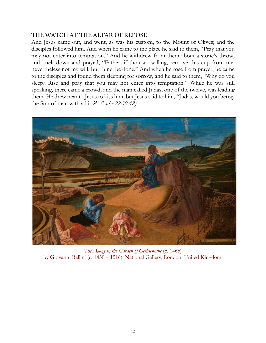# **THE WATCH AT THE ALTAR OF REPOSE**

And Jesus came out, and went, as was his custom, to the Mount of Olives; and the disciples followed him. And when he came to the place he said to them, "Pray that you may not enter into temptation." And he withdrew from them about a stone's throw, and knelt down and prayed, "Father, if thou art willing, remove this cup from me; nevertheless not my will, but thine, be done." And when he rose from prayer, he came to the disciples and found them sleeping for sorrow, and he said to them, "Why do you sleep? Rise and pray that you may not enter into temptation." While he was still speaking, there came a crowd, and the man called Judas, one of the twelve, was leading them. He drew near to Jesus to kiss him; but Jesus said to him, "Judas, would you betray the Son of man with a kiss?" *(Luke 22:39-48)*



*The Agony in the Garden of Gethsemane* (c. 1465) by Giovanni Bellini (c. 1430 *–* 1516). National Gallery, London, United Kingdom.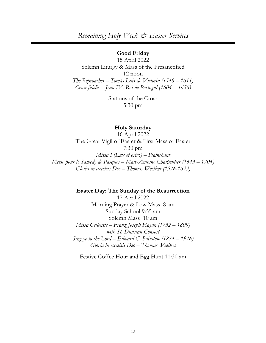*Remaining Holy Week & Easter Services*

#### **Good Friday**

15 April 2022 Solemn Liturgy & Mass of the Presanctified 12 noon *The Reproaches – Tomás Luis de Victoria (1548 – 1611) Crux fidelis – Jean IV, Roi de Portugal (1604 – 1656)*

> Stations of the Cross 5:30 pm

#### **Holy Saturday**

16 April 2022 The Great Vigil of Easter & First Mass of Easter 7:30 pm *Missa I (Lux et origo) – Plainchant Messe pour le Samedy de Pasques – Marc-Antoine Charpentier (1643 – 1704) Gloria in excelsis Deo – Thomas Weelkes (1576-1623)*

**Easter Day: The Sunday of the Resurrection**

17 April 2022 Morning Prayer & Low Mass 8 am Sunday School 9:55 am Solemn Mass 10 am *Missa Cellensis – Franz Joseph Haydn (1732 – 1809) with St. Dunstan Consort Sing ye to the Lord – Edward C. Bairstow (1874 – 1946) Gloria in excelsis Deo – Thomas Weelkes*

Festive Coffee Hour and Egg Hunt 11:30 am